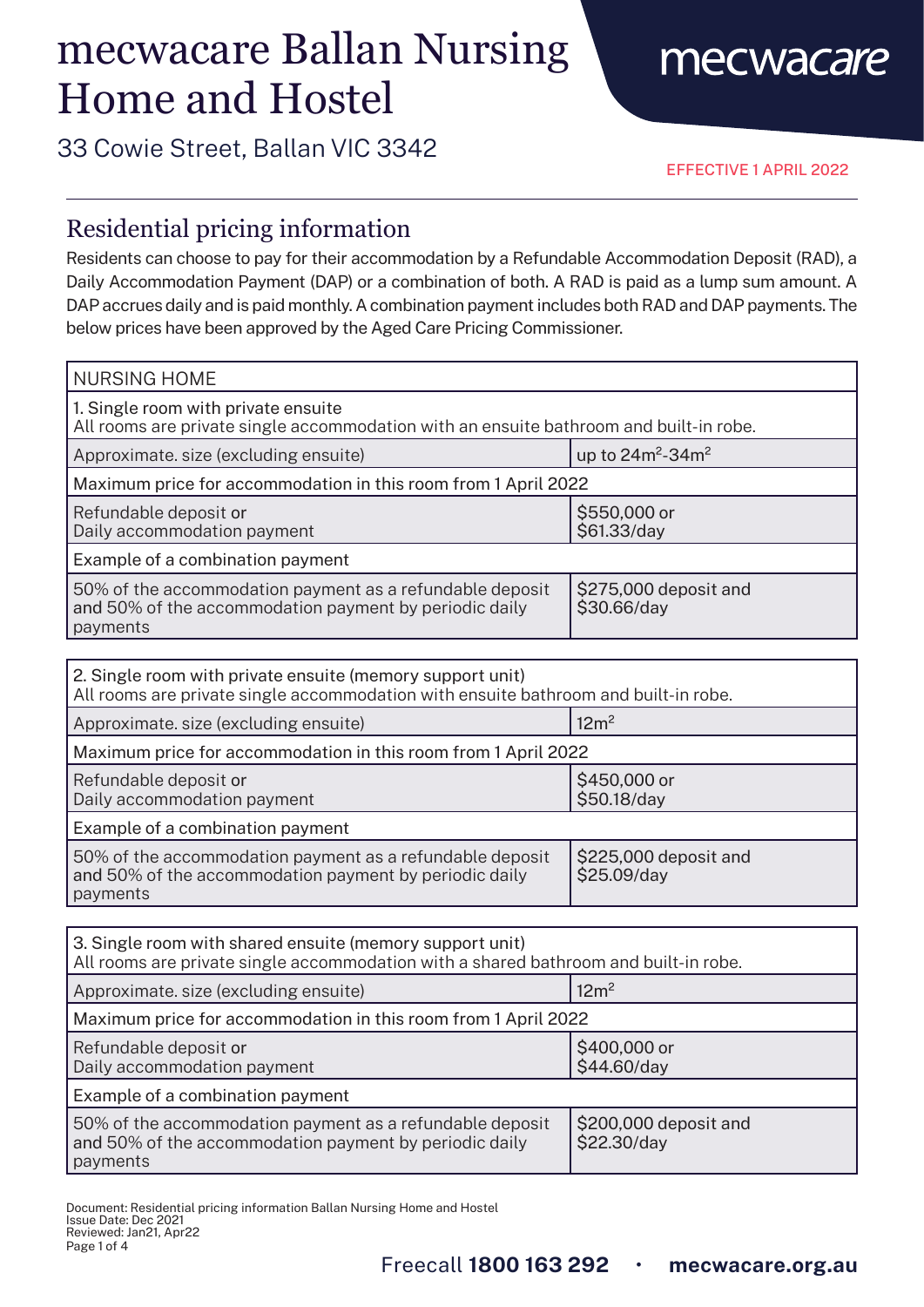# mecwacare Ballan Nursing Home and Hostel

### 33 Cowie Street, Ballan VIC 3342

EFFECTIVE 1 APRIL 2022

mecwacare

#### Residential pricing information

Residents can choose to pay for their accommodation by a Refundable Accommodation Deposit (RAD), a Daily Accommodation Payment (DAP) or a combination of both. A RAD is paid as a lump sum amount. A DAP accrues daily and is paid monthly. A combination payment includes both RAD and DAP payments. The below prices have been approved by the Aged Care Pricing Commissioner.

| <b>NURSING HOME</b>                                                                                                            |                                      |  |
|--------------------------------------------------------------------------------------------------------------------------------|--------------------------------------|--|
| 1. Single room with private ensuite<br>All rooms are private single accommodation with an ensuite bathroom and built-in robe.  |                                      |  |
| Approximate. size (excluding ensuite)                                                                                          | up to $24m^2 - 34m^2$                |  |
| Maximum price for accommodation in this room from 1 April 2022                                                                 |                                      |  |
| Refundable deposit or<br>Daily accommodation payment                                                                           | \$550,000 or<br>\$61.33/day          |  |
| Example of a combination payment                                                                                               |                                      |  |
| 50% of the accommodation payment as a refundable deposit<br>and 50% of the accommodation payment by periodic daily<br>payments | \$275,000 deposit and<br>\$30.66/day |  |
|                                                                                                                                |                                      |  |

| 2. Single room with private ensuite (memory support unit)<br>All rooms are private single accommodation with ensuite bathroom and built-in robe. |                                      |  |
|--------------------------------------------------------------------------------------------------------------------------------------------------|--------------------------------------|--|
| Approximate. size (excluding ensuite)                                                                                                            | 12m <sup>2</sup>                     |  |
| Maximum price for accommodation in this room from 1 April 2022                                                                                   |                                      |  |
| Refundable deposit or<br>Daily accommodation payment                                                                                             | \$450,000 or<br>\$50.18/day          |  |
| Example of a combination payment                                                                                                                 |                                      |  |
| 50% of the accommodation payment as a refundable deposit<br>and 50% of the accommodation payment by periodic daily<br>payments                   | \$225,000 deposit and<br>\$25.09/day |  |

| 3. Single room with shared ensuite (memory support unit)<br>All rooms are private single accommodation with a shared bathroom and built-in robe. |                                      |  |
|--------------------------------------------------------------------------------------------------------------------------------------------------|--------------------------------------|--|
| Approximate. size (excluding ensuite)                                                                                                            | 12m <sup>2</sup>                     |  |
| Maximum price for accommodation in this room from 1 April 2022                                                                                   |                                      |  |
| Refundable deposit or<br>Daily accommodation payment                                                                                             | \$400,000 or<br>\$44.60/day          |  |
| Example of a combination payment                                                                                                                 |                                      |  |
| 50% of the accommodation payment as a refundable deposit<br>and 50% of the accommodation payment by periodic daily<br>payments                   | \$200,000 deposit and<br>\$22.30/day |  |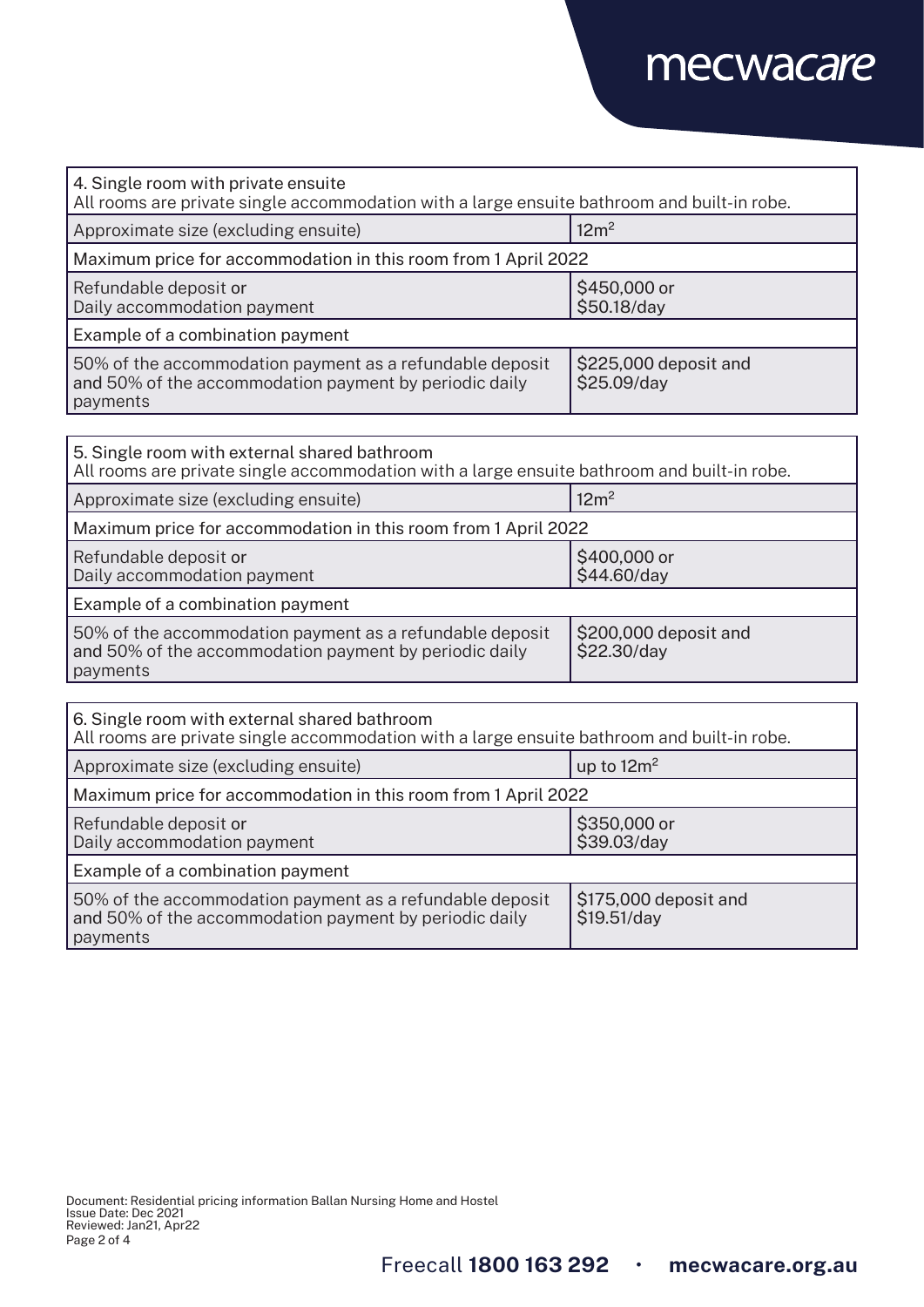## mecwacare

| 4. Single room with private ensuite<br>All rooms are private single accommodation with a large ensuite bathroom and built-in robe. |                                      |  |
|------------------------------------------------------------------------------------------------------------------------------------|--------------------------------------|--|
| Approximate size (excluding ensuite)                                                                                               | 12m <sup>2</sup>                     |  |
| Maximum price for accommodation in this room from 1 April 2022                                                                     |                                      |  |
| Refundable deposit or<br>Daily accommodation payment                                                                               | \$450,000 or<br>\$50.18/day          |  |
| Example of a combination payment                                                                                                   |                                      |  |
| 50% of the accommodation payment as a refundable deposit<br>and 50% of the accommodation payment by periodic daily<br>payments     | \$225,000 deposit and<br>\$25.09/day |  |
|                                                                                                                                    |                                      |  |
| 5 Single room with external shared bathroom                                                                                        |                                      |  |

| 5. Single room with external shared bathroom<br>All rooms are private single accommodation with a large ensuite bathroom and built-in robe. |                                      |  |
|---------------------------------------------------------------------------------------------------------------------------------------------|--------------------------------------|--|
| Approximate size (excluding ensuite)                                                                                                        | 12m <sup>2</sup>                     |  |
| Maximum price for accommodation in this room from 1 April 2022                                                                              |                                      |  |
| Refundable deposit or<br>Daily accommodation payment                                                                                        | \$400,000 or<br>\$44.60/day          |  |
| Example of a combination payment                                                                                                            |                                      |  |
| 50% of the accommodation payment as a refundable deposit<br>and 50% of the accommodation payment by periodic daily<br>payments              | \$200,000 deposit and<br>\$22.30/day |  |

| 6. Single room with external shared bathroom<br>All rooms are private single accommodation with a large ensuite bathroom and built-in robe. |                                      |  |
|---------------------------------------------------------------------------------------------------------------------------------------------|--------------------------------------|--|
| Approximate size (excluding ensuite)                                                                                                        | up to $12m^2$                        |  |
| Maximum price for accommodation in this room from 1 April 2022                                                                              |                                      |  |
| Refundable deposit or<br>Daily accommodation payment                                                                                        | \$350,000 or<br>\$39.03/day          |  |
| Example of a combination payment                                                                                                            |                                      |  |
| 50% of the accommodation payment as a refundable deposit<br>and 50% of the accommodation payment by periodic daily<br>payments              | \$175,000 deposit and<br>\$19.51/day |  |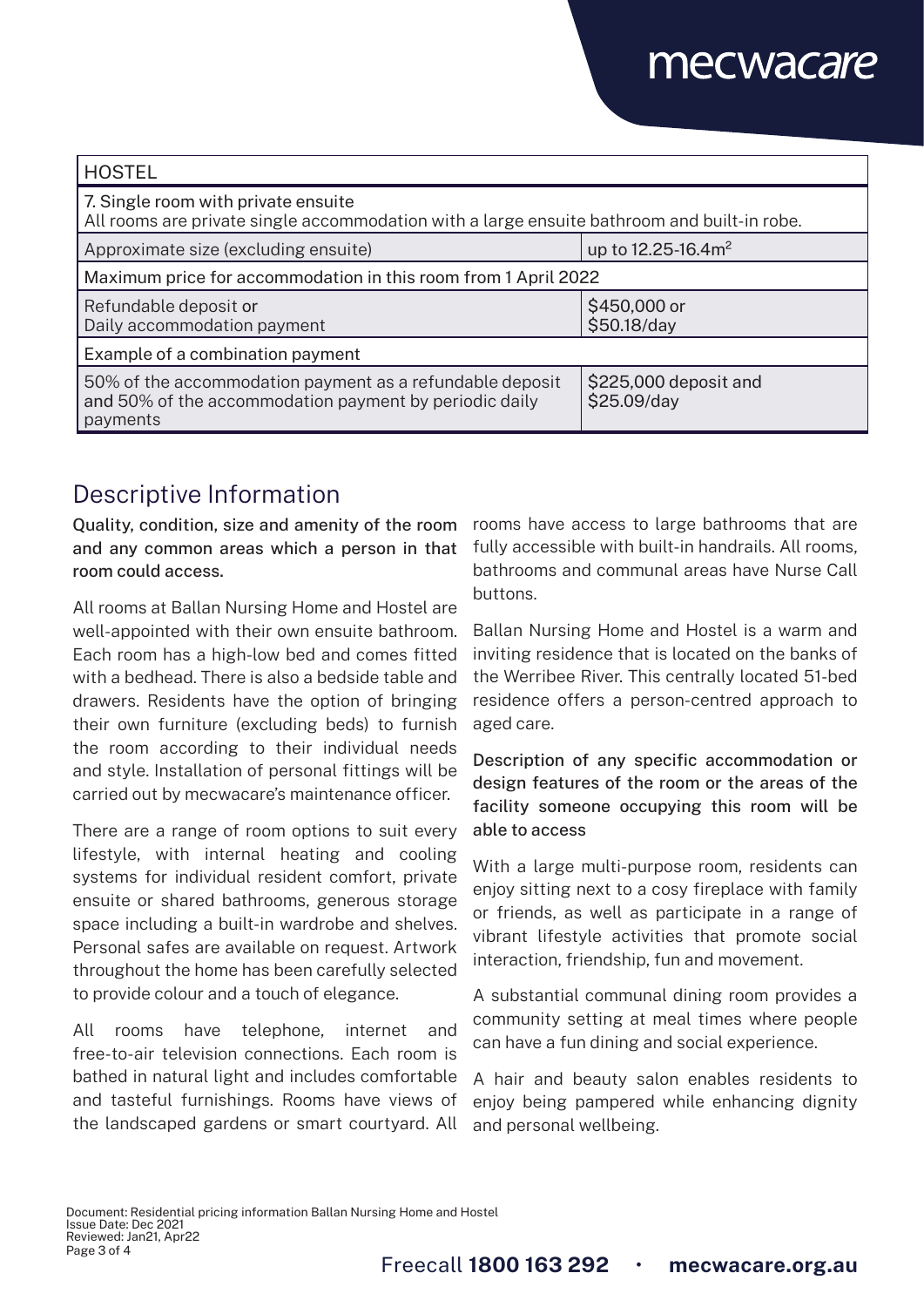## mecwacare

| <b>HOSTEL</b>                                                                                                                      |                                      |  |
|------------------------------------------------------------------------------------------------------------------------------------|--------------------------------------|--|
| 7. Single room with private ensuite<br>All rooms are private single accommodation with a large ensuite bathroom and built-in robe. |                                      |  |
| Approximate size (excluding ensuite)                                                                                               | up to 12.25-16.4m <sup>2</sup>       |  |
| Maximum price for accommodation in this room from 1 April 2022                                                                     |                                      |  |
| Refundable deposit or<br>Daily accommodation payment                                                                               | \$450,000 or<br>\$50.18/day          |  |
| Example of a combination payment                                                                                                   |                                      |  |
| 50% of the accommodation payment as a refundable deposit<br>and 50% of the accommodation payment by periodic daily<br>payments     | \$225,000 deposit and<br>\$25.09/day |  |

### Descriptive Information

Quality, condition, size and amenity of the room and any common areas which a person in that room could access.

All rooms at Ballan Nursing Home and Hostel are well-appointed with their own ensuite bathroom. Each room has a high-low bed and comes fitted with a bedhead. There is also a bedside table and drawers. Residents have the option of bringing their own furniture (excluding beds) to furnish the room according to their individual needs and style. Installation of personal fittings will be carried out by mecwacare's maintenance officer.

There are a range of room options to suit every lifestyle, with internal heating and cooling systems for individual resident comfort, private ensuite or shared bathrooms, generous storage space including a built-in wardrobe and shelves. Personal safes are available on request. Artwork throughout the home has been carefully selected to provide colour and a touch of elegance.

All rooms have telephone, internet and free-to-air television connections. Each room is bathed in natural light and includes comfortable and tasteful furnishings. Rooms have views of the landscaped gardens or smart courtyard. All

rooms have access to large bathrooms that are fully accessible with built-in handrails. All rooms, bathrooms and communal areas have Nurse Call buttons.

Ballan Nursing Home and Hostel is a warm and inviting residence that is located on the banks of the Werribee River. This centrally located 51-bed residence offers a person-centred approach to aged care.

Description of any specific accommodation or design features of the room or the areas of the facility someone occupying this room will be able to access

With a large multi-purpose room, residents can enjoy sitting next to a cosy fireplace with family or friends, as well as participate in a range of vibrant lifestyle activities that promote social interaction, friendship, fun and movement.

A substantial communal dining room provides a community setting at meal times where people can have a fun dining and social experience.

A hair and beauty salon enables residents to enjoy being pampered while enhancing dignity and personal wellbeing.